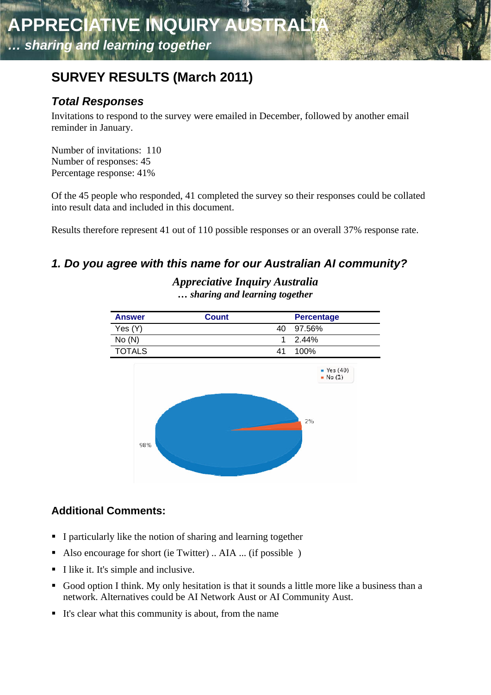# **SURVEY RESULTS (March 2011)**

# *Total Responses*

Invitations to respond to the survey were emailed in December, followed by another email reminder in January.

Number of invitations: 110 Number of responses: 45 Percentage response: 41%

Of the 45 people who responded, 41 completed the survey so their responses could be collated into result data and included in this document.

Results therefore represent 41 out of 110 possible responses or an overall 37% response rate.

# *1. Do you agree with this name for our Australian AI community?*



*Appreciative Inquiry Australia … sharing and learning together* 

# **Additional Comments:**

- I particularly like the notion of sharing and learning together
- Also encourage for short (ie Twitter) .. AIA ... (if possible )
- I like it. It's simple and inclusive.
- Good option I think. My only hesitation is that it sounds a little more like a business than a network. Alternatives could be AI Network Aust or AI Community Aust.
- It's clear what this community is about, from the name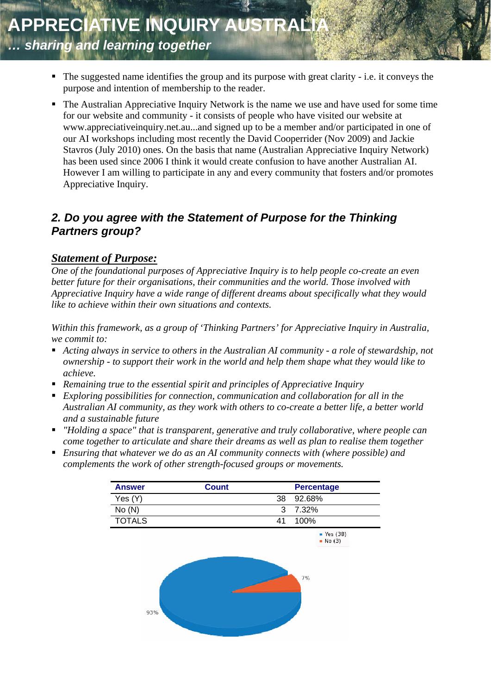- The suggested name identifies the group and its purpose with great clarity i.e. it conveys the purpose and intention of membership to the reader.
- The Australian Appreciative Inquiry Network is the name we use and have used for some time for our website and community - it consists of people who have visited our website at www.appreciativeinquiry.net.au...and signed up to be a member and/or participated in one of our AI workshops including most recently the David Cooperrider (Nov 2009) and Jackie Stavros (July 2010) ones. On the basis that name (Australian Appreciative Inquiry Network) has been used since 2006 I think it would create confusion to have another Australian AI. However I am willing to participate in any and every community that fosters and/or promotes Appreciative Inquiry.

### *2. Do you agree with the Statement of Purpose for the Thinking Partners group?*

#### *Statement of Purpose:*

*One of the foundational purposes of Appreciative Inquiry is to help people co-create an even better future for their organisations, their communities and the world. Those involved with Appreciative Inquiry have a wide range of different dreams about specifically what they would like to achieve within their own situations and contexts.* 

*Within this framework, as a group of 'Thinking Partners' for Appreciative Inquiry in Australia, we commit to:* 

- Acting always in service to others in the Australian AI community a role of stewardship, not *ownership - to support their work in the world and help them shape what they would like to achieve.*
- *Remaining true to the essential spirit and principles of Appreciative Inquiry*
- *Exploring possibilities for connection, communication and collaboration for all in the Australian AI community, as they work with others to co-create a better life, a better world and a sustainable future*
- *"Holding a space" that is transparent, generative and truly collaborative, where people can come together to articulate and share their dreams as well as plan to realise them together*
- *Ensuring that whatever we do as an AI community connects with (where possible) and complements the work of other strength-focused groups or movements.*

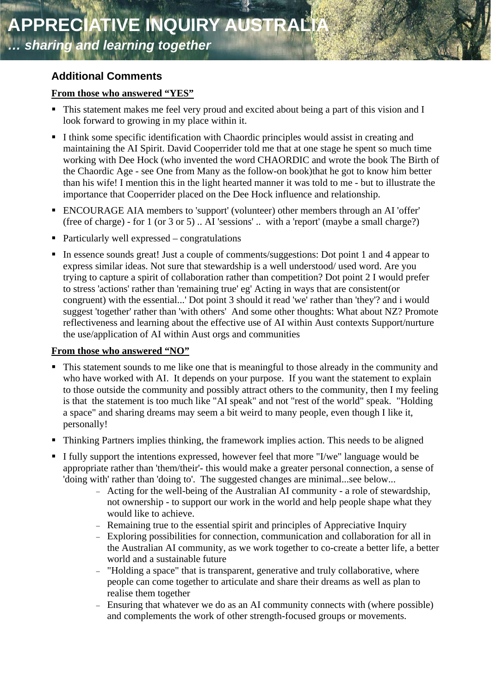# **Additional Comments**

#### **From those who answered "YES"**

- This statement makes me feel very proud and excited about being a part of this vision and I look forward to growing in my place within it.
- I think some specific identification with Chaordic principles would assist in creating and maintaining the AI Spirit. David Cooperrider told me that at one stage he spent so much time working with Dee Hock (who invented the word CHAORDIC and wrote the book The Birth of the Chaordic Age - see One from Many as the follow-on book)that he got to know him better than his wife! I mention this in the light hearted manner it was told to me - but to illustrate the importance that Cooperrider placed on the Dee Hock influence and relationship.
- ENCOURAGE AIA members to 'support' (volunteer) other members through an AI 'offer' (free of charge) - for 1 (or 3 or 5) .. AI 'sessions' .. with a 'report' (maybe a small charge?)
- Particularly well expressed congratulations
- In essence sounds great! Just a couple of comments/suggestions: Dot point 1 and 4 appear to trying to capture a spirit of collaboration rather than competition? Dot point 2 I would prefer congruent) with the essential...' Dot point 3 should it read 'we' rather than 'they'? and i would suggest 'together' rather than 'with others' And some other thoughts: What about NZ? Promote express similar ideas. Not sure that stewardship is a well understood/ used word. Are you to stress 'actions' rather than 'remaining true' eg' Acting in ways that are consistent(or reflectiveness and learning about the effective use of AI within Aust contexts Support/nurture the use/application of AI within Aust orgs and communities

#### **From those who answered "NO"**

- This statement sounds to me like one that is meaningful to those already in the community and who have worked with AI. It depends on your purpose. If you want the statement to explain to those outside the community and possibly attract others to the community, then I my feeling is that the statement is too much like "AI speak" and not "rest of the world" speak. "Holding a space" and sharing dreams may seem a bit weird to many people, even though I like it, personally!
- Thinking Partners implies thinking, the framework implies action. This needs to be aligned
- appropriate rather than 'them/their'- this would make a greater personal connection, a sense of I fully support the intentions expressed, however feel that more "I/we" language would be 'doing with' rather than 'doing to'. The suggested changes are minimal...see below...
	- Acting for the well-being of the Australian AI community a role of stewardship, not ownership - to support our work in the world and help people shape what they would like to achieve.
	- Remaining true to the essential spirit and principles of Appreciative Inquiry
	- Exploring possibilities for connection, communication and collaboration for all in the Australian AI community, as we work together to co-create a better life, a better world and a sustainable future
	- "Holding a space" that is transparent, generative and truly collaborative, where people can come together to articulate and share their dreams as well as plan to realise them together
	- Ensuring that whatever we do as an AI community connects with (where possible) and complements the work of other strength-focused groups or movements.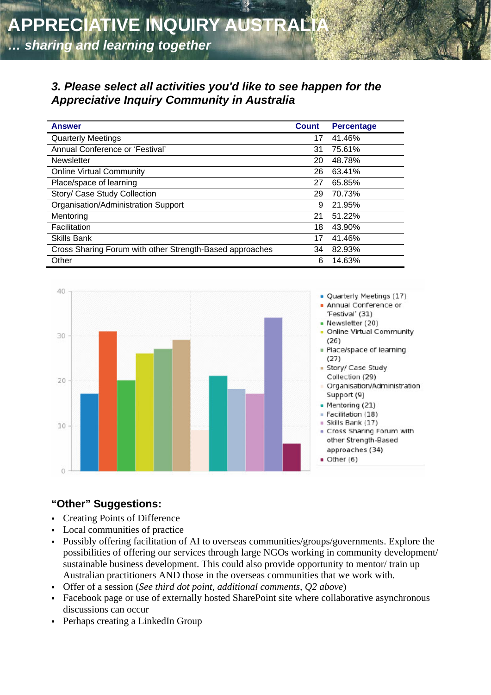#### *3. Please select all activities you'd like to see happen for the Appreciative Inquiry Community in Australia*

| <b>Answer</b>                                            | <b>Count</b> | <b>Percentage</b> |
|----------------------------------------------------------|--------------|-------------------|
| <b>Quarterly Meetings</b>                                | 17           | 41.46%            |
| Annual Conference or 'Festival'                          | 31           | 75.61%            |
| <b>Newsletter</b>                                        | 20           | 48.78%            |
| <b>Online Virtual Community</b>                          | 26           | 63.41%            |
| Place/space of learning                                  | 27           | 65.85%            |
| Story/ Case Study Collection                             | 29           | 70.73%            |
| Organisation/Administration Support                      | 9            | 21.95%            |
| Mentoring                                                | 21           | 51.22%            |
| Facilitation                                             | 18           | 43.90%            |
| <b>Skills Bank</b>                                       | 17           | 41.46%            |
| Cross Sharing Forum with other Strength-Based approaches | 34           | 82.93%            |
| Other                                                    | 6            | 14.63%            |



#### **"Other" Suggestions:**

- Creating Points of Difference
- Local communities of practice
- Possibly offering facilitation of AI to overseas communities/groups/governments. Explore the possibilities of offering our services through large NGOs working in community development/ sustainable business development. This could also provide opportunity to mentor/ train up Australian practitioners AND those in the overseas communities that we work with.
- Offer of a session (*See third dot point, additional comments, Q2 above*)
- Facebook page or use of externally hosted SharePoint site where collaborative asynchronous discussions can occur
- Perhaps creating a LinkedIn Group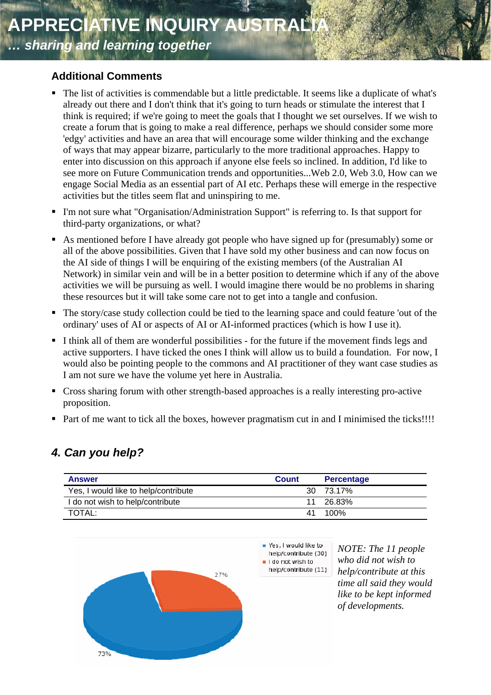#### **Additional Comments**

- The list of activities is commendable but a little predictable. It seems like a duplicate of what's think is required; if we're going to meet the goals that I thought we set ourselves. If we wish to see more on Future Communication trends and opportunities...Web 2.0, Web 3.0, How can we already out there and I don't think that it's going to turn heads or stimulate the interest that I create a forum that is going to make a real difference, perhaps we should consider some more 'edgy' activities and have an area that will encourage some wilder thinking and the exchange of ways that may appear bizarre, particularly to the more traditional approaches. Happy to enter into discussion on this approach if anyone else feels so inclined. In addition, I'd like to engage Social Media as an essential part of AI etc. Perhaps these will emerge in the respective activities but the titles seem flat and uninspiring to me.
- " I'm not sure what "Organisation/Administration Support" is referring to. Is that support for third-party organizations, or what?
- As mentioned before I have already got people who have signed up for (presumably) some or Network) in similar vein and will be in a better position to determine which if any of the above all of the above possibilities. Given that I have sold my other business and can now focus on the AI side of things I will be enquiring of the existing members (of the Australian AI activities we will be pursuing as well. I would imagine there would be no problems in sharing these resources but it will take some care not to get into a tangle and confusion.
- The story/case study collection could be tied to the learning space and could feature 'out of the ordinary' uses of AI or aspects of AI or AI-informed practices (which is how I use it).
- I think all of them are wonderful possibilities for the future if the movement finds legs and active supporters. I have ticked the ones I think will allow us to build a foundation. For now, I would also be pointing people to the commons and AI practitioner of they want case studies as I am not sure we have the volume yet here in Australia.
- Cross sharing forum with other strength-based approaches is a really interesting pro-active proposition.
- Part of me want to tick all the boxes, however pragmatism cut in and I minimised the ticks!!!!

# *. Can you help? 4*

| <b>Answer</b>                        | <b>Count</b> | <b>Percentage</b> |
|--------------------------------------|--------------|-------------------|
| Yes, I would like to help/contribute |              | 30 73.17%         |
| I do not wish to help/contribute     |              | 11 26.83%         |
| TOTAL:                               |              | 41 100%           |



Yes, I would like to help/contribute (30) I do not wish to help/contribute (11)

*NOTE: The 11 people s help/contribute at thi who did not wish to time all said they would like to be kept informed of developments.*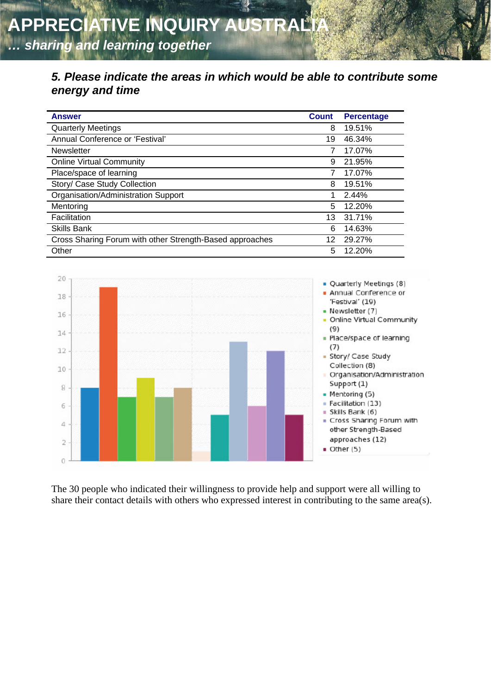### *5. Please indicate the areas in which would be able to contribute some energy and time*

| <b>Answer</b>                                            | <b>Count</b> | <b>Percentage</b> |
|----------------------------------------------------------|--------------|-------------------|
| <b>Quarterly Meetings</b>                                | 8            | 19.51%            |
| Annual Conference or 'Festival'                          | 19           | 46.34%            |
| Newsletter                                               |              | 17.07%            |
| <b>Online Virtual Community</b>                          | 9            | 21.95%            |
| Place/space of learning                                  |              | 17.07%            |
| Story/ Case Study Collection                             | 8            | 19.51%            |
| Organisation/Administration Support                      | 1            | 2.44%             |
| Mentoring                                                | 5            | 12.20%            |
| Facilitation                                             | 13           | 31.71%            |
| <b>Skills Bank</b>                                       | 6            | 14.63%            |
| Cross Sharing Forum with other Strength-Based approaches | 12           | 29.27%            |
| Other                                                    | 5            | 12.20%            |



The 30 people who indicated their willingness to provide help and support were all willing to share their contact details with others who expressed interest in contributing to the same area(s).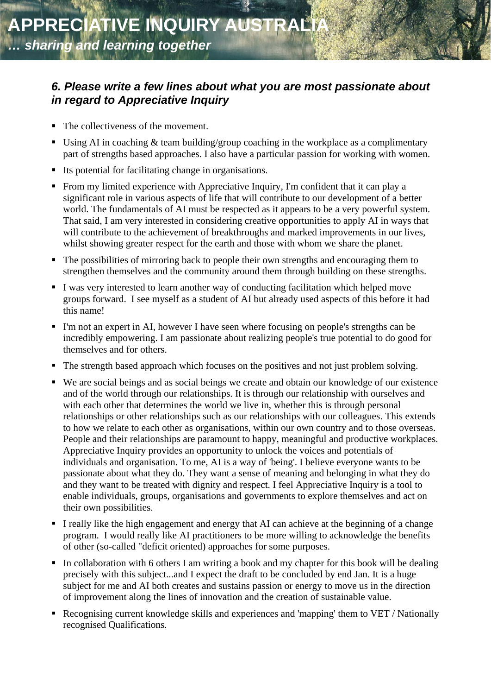### *6. Please write a few lines about what you are most passionate about in regard to Appreciative Inquiry*

- The collectiveness of the movement.
- Using AI in coaching  $&$  team building/group coaching in the workplace as a complimentary part of strengths based approaches. I also have a particular passion for working with women.
- Its potential for facilitating change in organisations.
- From my limited experience with Appreciative Inquiry, I'm confident that it can play a significant role in various aspects of life that will contribute to our development of a better world. The fundamentals of AI must be respected as it appears to be a very powerful system. That said, I am very interested in considering creative opportunities to apply AI in ways that will contribute to the achievement of breakthroughs and marked improvements in our lives, whilst showing greater respect for the earth and those with whom we share the planet.
- The possibilities of mirroring back to people their own strengths and encouraging them to . strengthen themselves and the community around them through building on these strengths
- groups forward. I see myself as a student of AI but already used aspects of this before it had I was very interested to learn another way of conducting facilitation which helped move this name!
- I'm not an expert in AI, however I have seen where focusing on people's strengths can be incredibly empowering. I am passionate about realizing people's true potential to do good for themselves and for others.
- The strength based approach which focuses on the positives and not just problem solving.
- " We are social beings and as social beings we create and obtain our knowledge of our existence relationships or other relationships such as our relationships with our colleagues. This extends individuals and organisation. To me, AI is a way of 'being'. I believe everyone wants to be passionate about what they do. They want a sense of meaning and belonging in what they do and of the world through our relationships. It is through our relationship with ourselves and with each other that determines the world we live in, whether this is through personal to how we relate to each other as organisations, within our own country and to those overseas. People and their relationships are paramount to happy, meaningful and productive workplaces. Appreciative Inquiry provides an opportunity to unlock the voices and potentials of and they want to be treated with dignity and respect. I feel Appreciative Inquiry is a tool to enable individuals, groups, organisations and governments to explore themselves and act on their own possibilities.
- I really like the high engagement and energy that AI can achieve at the beginning of a change program. I would really like AI practitioners to be more willing to acknowledge the benefits of other (so-called "deficit oriented) approaches for some purposes.
- In collaboration with 6 others I am writing a book and my chapter for this book will be dealing subject for me and AI both creates and sustains passion or energy to move us in the direction precisely with this subject...and I expect the draft to be concluded by end Jan. It is a huge of improvement along the lines of innovation and the creation of sustainable value.
- Recognising current knowledge skills and experiences and 'mapping' them to VET / Nationally recognised Qualifications.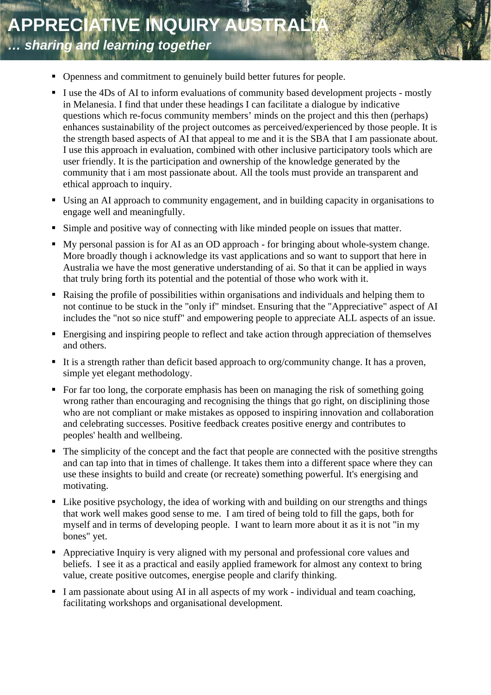- Openness and commitment to genuinely build better futures for people.
- I use the 4Ds of AI to inform evaluations of community based development projects mostly in Melanesia. I find that under these headings I can facilitate a dialogue by indicative questions which re-focus community members' minds on the project and this then (perhaps) enhances sustainability of the project outcomes as perceived/experienced by those people. It is the strength based aspects of AI that appeal to me and it is the SBA that I am passionate about. I use this approach in evaluation, combined with other inclusive participatory tools which are user friendly. It is the participation and ownership of the knowledge generated by the community that i am most passionate about. All the tools must provide an transparent and ethical approach to inquiry.
- Using an AI approach to community engagement, and in building capacity in organisations to engage well and meaningfully.
- Simple and positive way of connecting with like minded people on issues that matter.
- My personal passion is for AI as an OD approach for bringing about whole-system change. More broadly though i acknowledge its vast applications and so want to support that here in Australia we have the most generative understanding of ai. So that it can be applied in ways that truly bring forth its potential and the potential of those who work with it.
- Raising the profile of possibilities within organisations and individuals and helping them to not continue to be stuck in the "only if" mindset. Ensuring that the "Appreciative" aspect of AI includes the "not so nice stuff" and empowering people to appreciate ALL aspects of an issue.
- **Energising and inspiring people to reflect and take action through appreciation of themselves** and others.
- It is a strength rather than deficit based approach to org/community change. It has a proven, simple yet elegant methodology.
- For far too long, the corporate emphasis has been on managing the risk of something going wrong rather than encouraging and recognising the things that go right, on disciplining those who are not compliant or make mistakes as opposed to inspiring innovation and collaboration and celebrating successes. Positive feedback creates positive energy and contributes to peoples' health and wellbeing.
- $\blacksquare$  The simplicity of the concept and the fact that people are connected with the positive strengths and can tap into that in times of challenge. It takes them into a different space where they can use these insights to build and create (or recreate) something powerful. It's energising and motivating.
- Like positive psychology, the idea of working with and building on our strengths and things that work well makes good sense to me. I am tired of being told to fill the gaps, both for myself and in terms of developing people. I want to learn more about it as it is not "in my bones" yet.
- Appreciative Inquiry is very aligned with my personal and professional core values and beliefs. I see it as a practical and easily applied framework for almost any context to bring value, create positive outcomes, energise people and clarify thinking.
- I am passionate about using AI in all aspects of my work individual and team coaching, facilitating workshops and organisational development.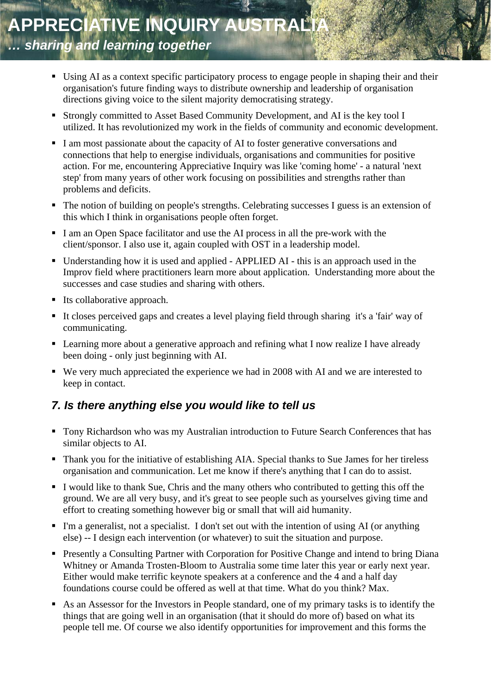- Using AI as a context specific participatory process to engage people in shaping their and their organisation's future finding ways to distribute ownership and leadership of organisation directions giving voice to the silent majority democratising strategy.
- Strongly committed to Asset Based Community Development, and AI is the key tool I utilized. It has revolutionized my work in the fields of community and economic development.
- I am most passionate about the capacity of AI to foster generative conversations and connections that help to energise individuals, organisations and communities for positive action. For me, encountering Appreciative Inquiry was like 'coming home' - a natural 'next step' from many years of other work focusing on possibilities and strengths rather than problems and deficits.
- The notion of building on people's strengths. Celebrating successes I guess is an extension of this which I think in organisations people often forget.
- I am an Open Space facilitator and use the AI process in all the pre-work with the client/sponsor. I also use it, again coupled with OST in a leadership model.
- Understanding how it is used and applied APPLIED AI this is an approach used in the Improv field where practitioners learn more about application. Understanding more about the successes and case studies and sharing with others.
- $\blacksquare$  Its collaborative approach.
- It closes perceived gaps and creates a level playing field through sharing it's a 'fair' way of communicating.
- **Example 1** Learning more about a generative approach and refining what I now realize I have already been doing - only just beginning with AI.
- We very much appreciated the experience we had in 2008 with AI and we are interested to keep in contact.

# *7. Is there anything else you would like to tell us*

- Tony Richardson who was my Australian introduction to Future Search Conferences that has similar objects to AI.
- Thank you for the initiative of establishing AIA. Special thanks to Sue James for her tireless organisation and communication. Let me know if there's anything that I can do to assist.
- I would like to thank Sue, Chris and the many others who contributed to getting this off the ground. We are all very busy, and it's great to see people such as yourselves giving time and effort to creating something however big or small that will aid humanity.
- I'm a generalist, not a specialist. I don't set out with the intention of using AI (or anything else) -- I design each intervention (or whatever) to suit the situation and purpose.
- Presently a Consulting Partner with Corporation for Positive Change and intend to bring Diana Whitney or Amanda Trosten-Bloom to Australia some time later this year or early next year. Either would make terrific keynote speakers at a conference and the 4 and a half day foundations course could be offered as well at that time. What do you think? Max.
- As an Assessor for the Investors in People standard, one of my primary tasks is to identify the things that are going well in an organisation (that it should do more of) based on what its people tell me. Of course we also identify opportunities for improvement and this forms the